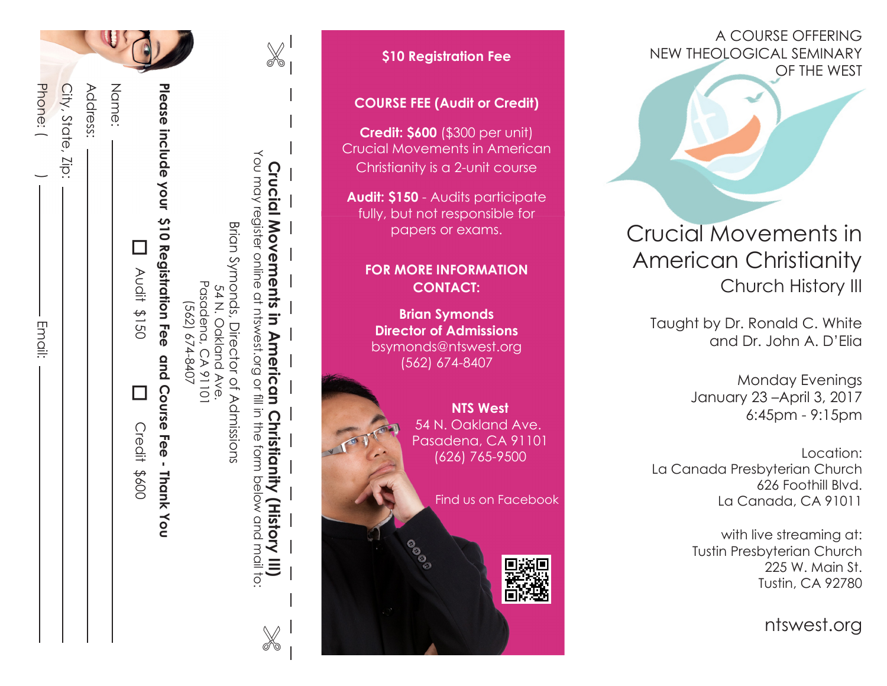| Phone: (<br>City, State, Zip:<br>- Email: | Address: | Name: | Please include your 310 Registration Fee and Course Fee - Thank You<br><b>D</b><br>Noti \$150<br>D Credit \$600 | $(562) 674 - 8407$ | Pasadena, CA 91101<br>54 N. Oakland Ave. | Brian Symbords, Director of Admissions | <b>Crucial Movements in American Christianity (History III)</b><br>You may register online at ntswest.org or fill in the form below and mail to: | $\overline{\phantom{a}}$<br>$\bigg $<br>$\overline{\phantom{a}}$ |
|-------------------------------------------|----------|-------|-----------------------------------------------------------------------------------------------------------------|--------------------|------------------------------------------|----------------------------------------|--------------------------------------------------------------------------------------------------------------------------------------------------|------------------------------------------------------------------|

# **COURSE FEE (Audit or Credit) Credit: \$600** (\$300 per unit) Crucial Movements in American Christianity is a 2-unit course **Audit: \$150** - Audits participate fully, but not responsible for papers or exams. **FOR MORE INFORMATION CONTACT: Brian Symonds Director of Admissions** bsymonds@ntswest.org (562) 674-8407 **NTS West** 54 N. Oakland Ave. Pasadena, CA 91101 (626) 765-9500 Find us on Facebook

**\$10 Registration Fee**

A COURSE OFFERING NEW THEOLOGICAL SEMINARY OF THE WEST

# Crucial Movements in American Christianity Church History III

Taught by Dr. Ronald C. White and Dr. John A. D'Elia

> Monday Evenings January 23 –April 3, 2017 6:45pm - 9:15pm

Location: La Canada Presbyterian Church 626 Foothill Blvd. La Canada, CA 91011

> with live streaming at: Tustin Presbyterian Church 225 W. Main St. Tustin, CA 92780

> > ntswest.org